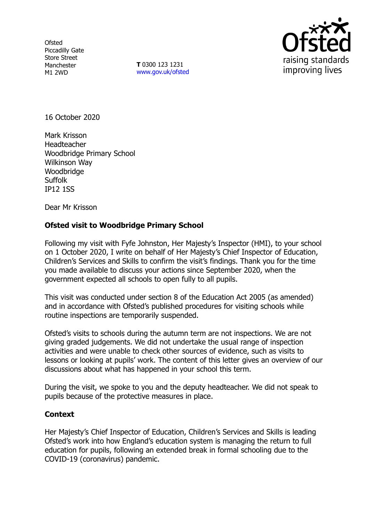**Ofsted** Piccadilly Gate Store Street Manchester M1 2WD

**T** 0300 123 1231 [www.gov.uk/ofsted](http://www.gov.uk/ofsted)



16 October 2020

Mark Krisson Headteacher Woodbridge Primary School Wilkinson Way **Woodbridge Suffolk** IP12 1SS

Dear Mr Krisson

## **Ofsted visit to Woodbridge Primary School**

Following my visit with Fyfe Johnston, Her Majesty's Inspector (HMI), to your school on 1 October 2020, I write on behalf of Her Majesty's Chief Inspector of Education, Children's Services and Skills to confirm the visit's findings. Thank you for the time you made available to discuss your actions since September 2020, when the government expected all schools to open fully to all pupils.

This visit was conducted under section 8 of the Education Act 2005 (as amended) and in accordance with Ofsted's published procedures for visiting schools while routine inspections are temporarily suspended.

Ofsted's visits to schools during the autumn term are not inspections. We are not giving graded judgements. We did not undertake the usual range of inspection activities and were unable to check other sources of evidence, such as visits to lessons or looking at pupils' work. The content of this letter gives an overview of our discussions about what has happened in your school this term.

During the visit, we spoke to you and the deputy headteacher. We did not speak to pupils because of the protective measures in place.

## **Context**

Her Majesty's Chief Inspector of Education, Children's Services and Skills is leading Ofsted's work into how England's education system is managing the return to full education for pupils, following an extended break in formal schooling due to the COVID-19 (coronavirus) pandemic.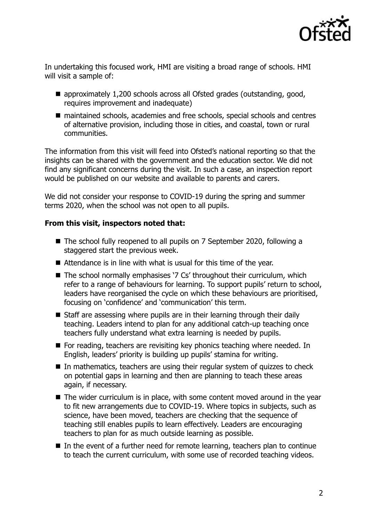

In undertaking this focused work, HMI are visiting a broad range of schools. HMI will visit a sample of:

- approximately 1,200 schools across all Ofsted grades (outstanding, good, requires improvement and inadequate)
- maintained schools, academies and free schools, special schools and centres of alternative provision, including those in cities, and coastal, town or rural communities.

The information from this visit will feed into Ofsted's national reporting so that the insights can be shared with the government and the education sector. We did not find any significant concerns during the visit. In such a case, an inspection report would be published on our website and available to parents and carers.

We did not consider your response to COVID-19 during the spring and summer terms 2020, when the school was not open to all pupils.

## **From this visit, inspectors noted that:**

- The school fully reopened to all pupils on 7 September 2020, following a staggered start the previous week.
- Attendance is in line with what is usual for this time of the year.
- The school normally emphasises '7 Cs' throughout their curriculum, which refer to a range of behaviours for learning. To support pupils' return to school, leaders have reorganised the cycle on which these behaviours are prioritised, focusing on 'confidence' and 'communication' this term.
- Staff are assessing where pupils are in their learning through their daily teaching. Leaders intend to plan for any additional catch-up teaching once teachers fully understand what extra learning is needed by pupils.
- For reading, teachers are revisiting key phonics teaching where needed. In English, leaders' priority is building up pupils' stamina for writing.
- In mathematics, teachers are using their regular system of quizzes to check on potential gaps in learning and then are planning to teach these areas again, if necessary.
- The wider curriculum is in place, with some content moved around in the year to fit new arrangements due to COVID-19. Where topics in subjects, such as science, have been moved, teachers are checking that the sequence of teaching still enables pupils to learn effectively. Leaders are encouraging teachers to plan for as much outside learning as possible.
- In the event of a further need for remote learning, teachers plan to continue to teach the current curriculum, with some use of recorded teaching videos.